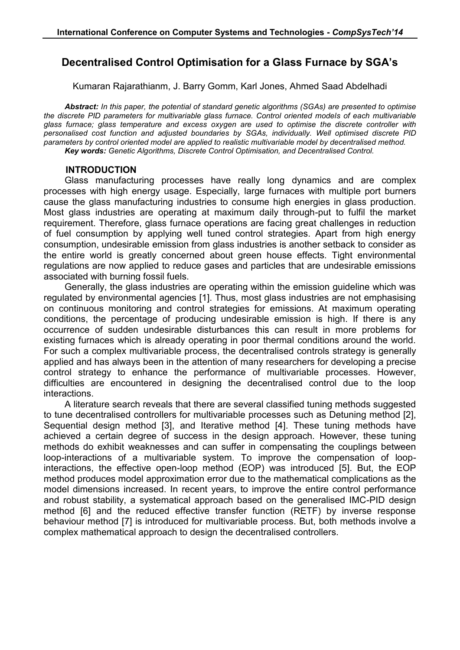# **Decentralised Control Optimisation for a Glass Furnace by SGA's**

Kumaran Rajarathianm, J. Barry Gomm, Karl Jones, Ahmed Saad Abdelhadi

*Abstract: In this paper, the potential of standard genetic algorithms (SGAs) are presented to optimise the discrete PID parameters for multivariable glass furnace. Control oriented models of each multivariable glass furnace; glass temperature and excess oxygen are used to optimise the discrete controller with personalised cost function and adjusted boundaries by SGAs, individually. Well optimised discrete PID parameters by control oriented model are applied to realistic multivariable model by decentralised method. Key words: Genetic Algorithms, Discrete Control Optimisation, and Decentralised Control.*

### **INTRODUCTION**

Glass manufacturing processes have really long dynamics and are complex processes with high energy usage. Especially, large furnaces with multiple port burners cause the glass manufacturing industries to consume high energies in glass production. Most glass industries are operating at maximum daily through-put to fulfil the market requirement. Therefore, glass furnace operations are facing great challenges in reduction of fuel consumption by applying well tuned control strategies. Apart from high energy consumption, undesirable emission from glass industries is another setback to consider as the entire world is greatly concerned about green house effects. Tight environmental regulations are now applied to reduce gases and particles that are undesirable emissions associated with burning fossil fuels.

Generally, the glass industries are operating within the emission guideline which was regulated by environmental agencies [1]. Thus, most glass industries are not emphasising on continuous monitoring and control strategies for emissions. At maximum operating conditions, the percentage of producing undesirable emission is high. If there is any occurrence of sudden undesirable disturbances this can result in more problems for existing furnaces which is already operating in poor thermal conditions around the world. For such a complex multivariable process, the decentralised controls strategy is generally applied and has always been in the attention of many researchers for developing a precise control strategy to enhance the performance of multivariable processes. However, difficulties are encountered in designing the decentralised control due to the loop interactions.

A literature search reveals that there are several classified tuning methods suggested to tune decentralised controllers for multivariable processes such as Detuning method [2], Sequential design method [3], and Iterative method [4]. These tuning methods have achieved a certain degree of success in the design approach. However, these tuning methods do exhibit weaknesses and can suffer in compensating the couplings between loop-interactions of a multivariable system. To improve the compensation of loopinteractions, the effective open-loop method (EOP) was introduced [5]. But, the EOP method produces model approximation error due to the mathematical complications as the model dimensions increased. In recent years, to improve the entire control performance and robust stability, a systematical approach based on the generalised IMC-PID design method [6] and the reduced effective transfer function (RETF) by inverse response behaviour method [7] is introduced for multivariable process. But, both methods involve a complex mathematical approach to design the decentralised controllers.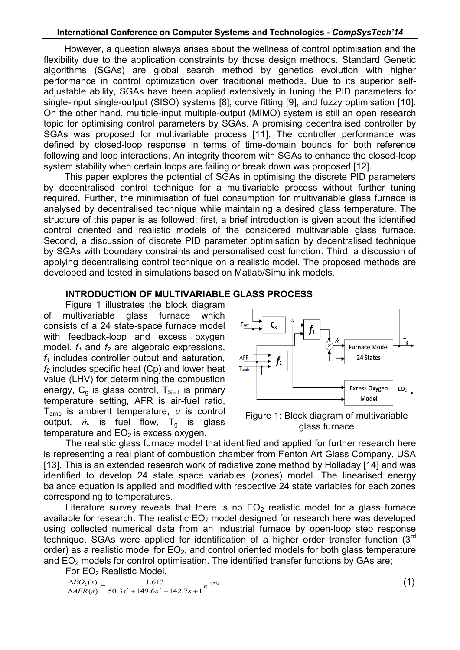However, a question always arises about the wellness of control optimisation and the flexibility due to the application constraints by those design methods. Standard Genetic algorithms (SGAs) are global search method by genetics evolution with higher performance in control optimization over traditional methods. Due to its superior selfadjustable ability, SGAs have been applied extensively in tuning the PID parameters for single-input single-output (SISO) systems [8], curve fitting [9], and fuzzy optimisation [10]. On the other hand, multiple-input multiple-output (MIMO) system is still an open research topic for optimising control parameters by SGAs. A promising decentralised controller by SGAs was proposed for multivariable process [11]. The controller performance was defined by closed-loop response in terms of time-domain bounds for both reference following and loop interactions. An integrity theorem with SGAs to enhance the closed-loop system stability when certain loops are failing or break down was proposed [12].

This paper explores the potential of SGAs in optimising the discrete PID parameters by decentralised control technique for a multivariable process without further tuning required. Further, the minimisation of fuel consumption for multivariable glass furnace is analysed by decentralised technique while maintaining a desired glass temperature. The structure of this paper is as followed; first, a brief introduction is given about the identified control oriented and realistic models of the considered multivariable glass furnace. Second, a discussion of discrete PID parameter optimisation by decentralised technique by SGAs with boundary constraints and personalised cost function. Third, a discussion of applying decentralising control technique on a realistic model. The proposed methods are developed and tested in simulations based on Matlab/Simulink models.

# **INTRODUCTION OF MULTIVARIABLE GLASS PROCESS**

Figure 1 illustrates the block diagram of multivariable glass furnace which consists of a 24 state-space furnace model with feedback-loop and excess oxygen model. *f<sup>1</sup>* and *f<sup>2</sup>* are algebraic expressions, *f<sup>1</sup>* includes controller output and saturation, *f<sup>2</sup>* includes specific heat (Cp) and lower heat value (LHV) for determining the combustion energy,  $C_q$  is glass control,  $T_{SET}$  is primary temperature setting, AFR is air-fuel ratio, Tamb is ambient temperature, *u* is control output,  $\dot{m}$  is fuel flow,  $T_{g}$  is glass temperature and  $EO<sub>2</sub>$  is excess oxygen.



Figure 1: Block diagram of multivariable glass furnace

The realistic glass furnace model that identified and applied for further research here is representing a real plant of combustion chamber from Fenton Art Glass Company, USA [13]. This is an extended research work of radiative zone method by Holladay [14] and was identified to develop 24 state space variables (zones) model. The linearised energy balance equation is applied and modified with respective 24 state variables for each zones corresponding to temperatures.

Literature survey reveals that there is no  $EO<sub>2</sub>$  realistic model for a glass furnace available for research. The realistic  $EO<sub>2</sub>$  model designed for research here was developed using collected numerical data from an industrial furnace by open-loop step response technique. SGAs were applied for identification of a higher order transfer function (3<sup>rd</sup> order) as a realistic model for  $EO<sub>2</sub>$ , and control oriented models for both glass temperature and  $EO<sub>2</sub>$  models for control optimisation. The identified transfer functions by GAs are;

For EO<sub>2</sub> Realistic Model.

 $\frac{E_0}{AFR(s)} = \frac{1.613}{50.3s^3 + 149.6s^2 + 142.7s + 1} e^{-173s}$  $rac{EO_2(s)}{AFR(s)} = \frac{1.613}{50.3s^3 + 149.6s^2 + 142.7s + 1}e^{-173}$  $\Delta E O_2(s) =$ 1.613  $(s)$  1.613  $\frac{\Delta E O_2(s)}{\Delta AFR(s)} = \frac{1.613}{50.3s^3 + 149.6s^2 + 142.7s +}$  $\Delta EO_2(s)$  (1)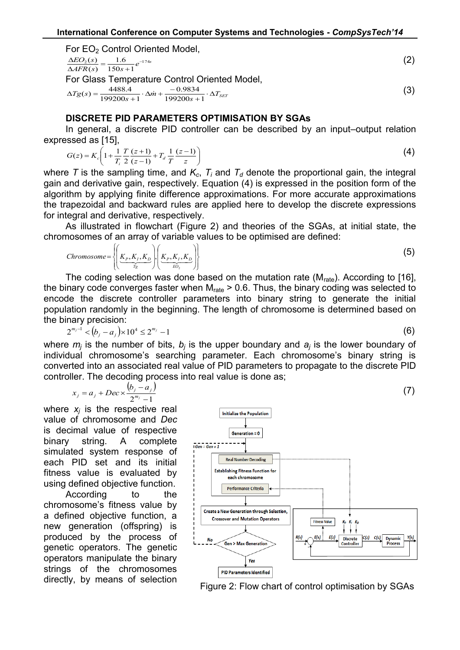For EO<sub>2</sub> Control Oriented Model.  $\frac{E\omega_2(s)}{AFR(s)} = \frac{1.6}{150s+1}e^{-174s}$  $EO_{2}(s) = \frac{1.6}{s} e^{-174}$  $\frac{150s + 1}{150s + 1}$ 1.6  $\overline{(s)}$  $(s)$  1.6  $e^{-t}$  $\frac{\Delta E O_2(S)}{\Delta AFR(s)} = \frac{1.6}{150s + 1.5}$  $\Delta EO_{2}(s) = 1.6$   $e^{-174s}$  (2) For Glass Temperature Control Oriented Model,  $Tg(s) = \frac{4488.4}{199200s+1} \cdot \Delta m + \frac{-0.9834}{199200s+1} \cdot \Delta T_{SET}$  $\Delta Tg(s) = \frac{4488.4}{199200s + 1} \cdot \Delta \dot{m} + \frac{-0.9834}{199200s + 1}$ 0.9834  $\frac{199200s + 1}{2}$  $(s) = \frac{4488.4}{1000000} \cdot \Delta m$ (3)

# **DISCRETE PID PARAMETERS OPTIMISATION BY SGAs**

In general, a discrete PID controller can be described by an input–output relation expressed as [15],

$$
G(z) = K_c \left( 1 + \frac{1}{T_i} \frac{T}{2} \frac{(z+1)}{(z-1)} + T_d \frac{1}{T} \frac{(z-1)}{z} \right)
$$
 (4)

where *T* is the sampling time, and  $K_c$ ,  $T_i$  and  $T_d$  denote the proportional gain, the integral gain and derivative gain, respectively. Equation (4) is expressed in the position form of the algorithm by applying finite difference approximations. For more accurate approximations the trapezoidal and backward rules are applied here to develop the discrete expressions for integral and derivative, respectively.

As illustrated in flowchart (Figure 2) and theories of the SGAs, at initial state, the chromosomes of an array of variable values to be optimised are defined:

Chromosome = 
$$
\left\{ \underbrace{K_P, K_I, K_D}_{T_g} \right\} \left( \underbrace{K_P, K_I, K_D}_{EO_2} \right)
$$
 (5)

The coding selection was done based on the mutation rate ( $M_{\text{rate}}$ ). According to [16], the binary code converges faster when  $M<sub>rate</sub>$  > 0.6. Thus, the binary coding was selected to encode the discrete controller parameters into binary string to generate the initial population randomly in the beginning. The length of chromosome is determined based on the binary precision:

 $2^{m_j-1} < (b_j - a_j) \times 10^4 \leq 2^{m_j} - 1$  $a_{j-1}^{m_j-1} < (b_j - a_j) \times 10^4 \le 2^{m_j} - 1$  (6)

where  $m_j$  is the number of bits,  $b_j$  is the upper boundary and  $a_j$  is the lower boundary of individual chromosome's searching parameter. Each chromosome's binary string is converted into an associated real value of PID parameters to propagate to the discrete PID controller. The decoding process into real value is done as;

$$
x_j = a_j + Dec \times \frac{(b_j - a_j)}{2^{m_j} - 1}
$$
 (7)

where *x<sup>j</sup>* is the respective real value of chromosome and *Dec* is decimal value of respective binary string. A complete simulated system response of each PID set and its initial fitness value is evaluated by using defined objective function.

According to the chromosome's fitness value by a defined objective function, a new generation (offspring) is produced by the process of genetic operators. The genetic operators manipulate the binary strings of the chromosomes directly, by means of selection



Figure 2: Flow chart of control optimisation by SGAs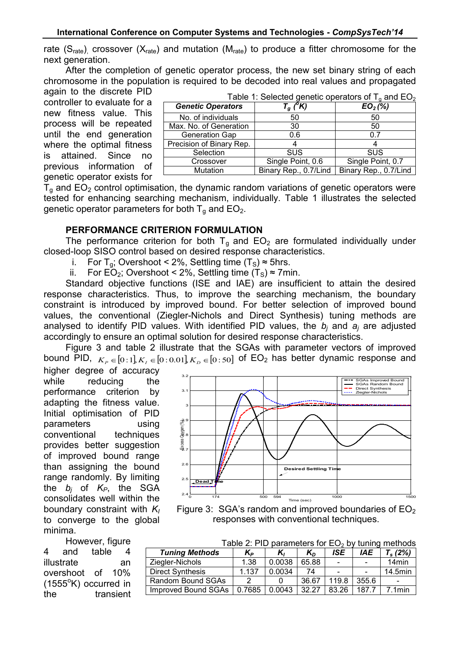rate ( $S<sub>rate</sub>$ ) crossover ( $X<sub>rate</sub>$ ) and mutation ( $M<sub>rate</sub>$ ) to produce a fitter chromosome for the next generation.

After the completion of genetic operator process, the new set binary string of each chromosome in the population is required to be decoded into real values and propagated again to the discrete PID

controller to evaluate for a new fitness value. This process will be repeated until the end generation where the optimal fitness is attained. Since no previous information of genetic operator exists for

| Table 1: Selected genetic operators of $T_q$ and $EO_2$ |                       |                       |  |
|---------------------------------------------------------|-----------------------|-----------------------|--|
| <b>Genetic Operators</b>                                | $T_q(\overline{K})$   | $EO_{2}(\%)$          |  |
| No. of individuals                                      | 50                    | 50                    |  |
| Max. No. of Generation                                  | 30                    | 50                    |  |
| <b>Generation Gap</b>                                   | 0.6                   | 0.7                   |  |
| Precision of Binary Rep.                                |                       |                       |  |
| Selection                                               | <b>SUS</b>            | <b>SUS</b>            |  |
| Crossover                                               | Single Point, 0.6     | Single Point, 0.7     |  |
| Mutation                                                | Binary Rep., 0.7/Lind | Binary Rep., 0.7/Lind |  |

 $T<sub>q</sub>$  and  $EO<sub>2</sub>$  control optimisation, the dynamic random variations of genetic operators were tested for enhancing searching mechanism, individually. Table 1 illustrates the selected genetic operator parameters for both  $T_q$  and  $EO_2$ .

### **PERFORMANCE CRITERION FORMULATION**

The performance criterion for both  $T_q$  and  $EO_2$  are formulated individually under closed-loop SISO control based on desired response characteristics.

- i. For  $T_a$ ; Overshoot < 2%, Settling time  $(T_s) \approx 5$ hrs.
- ii. For EO<sub>2</sub>; Overshoot < 2%, Settling time  $(T_s) \approx 7$ min.

Standard objective functions (ISE and IAE) are insufficient to attain the desired response characteristics. Thus, to improve the searching mechanism, the boundary constraint is introduced by improved bound. For better selection of improved bound values, the conventional (Ziegler-Nichols and Direct Synthesis) tuning methods are analysed to identify PID values. With identified PID values, the *b<sup>j</sup>* and *a<sup>j</sup>* are adjusted accordingly to ensure an optimal solution for desired response characteristics.

Figure 3 and table 2 illustrate that the SGAs with parameter vectors of improved bound PID,  $K_p \in [0:1]$ ,  $K_I \in [0:0.01]$ ,  $K_p \in [0:50]$  of EO<sub>2</sub> has better dynamic response and

higher degree of accuracy while reducing the performance criterion by adapting the fitness value. Initial optimisation of PID parameters using conventional techniques provides better suggestion of improved bound range than assigning the bound range randomly. By limiting the  $b_i$  of  $K_P$ , the SGA consolidates well within the boundary constraint with *K<sup>I</sup>* to converge to the global minima.

However, figure 4 and table 4 illustrate an overshoot of 10%  $(1555^{\circ}K)$  occurred in the transient



Figure 3: SGA's random and improved boundaries of  $EO<sub>2</sub>$ responses with conventional techniques.

| Table 2: PID parameters for $EO_2$ by tuning methods |                |        |       |            |                |                   |
|------------------------------------------------------|----------------|--------|-------|------------|----------------|-------------------|
| <b>Tuning Methods</b>                                | K <sub>Р</sub> | K,     | $K_D$ | <b>ISE</b> | <b>IAE</b>     | $T_s(2%)$         |
| Ziegler-Nichols                                      | 1.38           | 0.0038 | 65.88 | $\sim$     | $\sim$         | 14 <sub>min</sub> |
| <b>Direct Synthesis</b>                              | 1.137          | 0.0034 | 74    | $\sim$     | $\blacksquare$ | 14.5min           |
| Random Bound SGAs                                    | 2              |        | 36.67 | 119.8      | 355.6          |                   |
| Improved Bound SGAs                                  | 0.7685         | 0.0043 | 32.27 | 83.26      | 187.7          | $.1$ min          |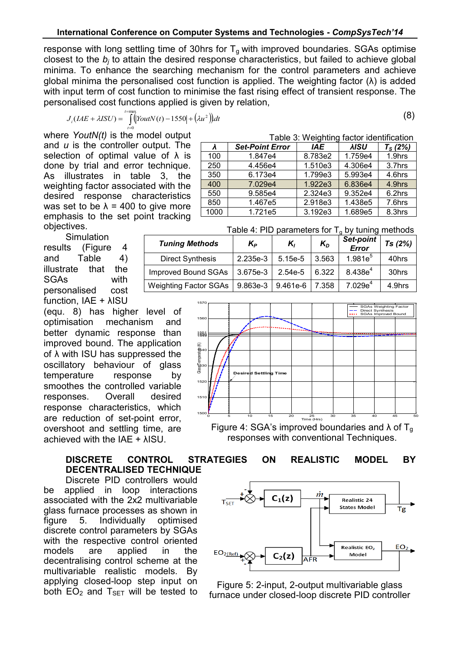response with long settling time of 30hrs for  $T<sub>g</sub>$  with improved boundaries. SGAs optimise closest to the *b<sup>j</sup>* to attain the desired response characteristics, but failed to achieve global minima. To enhance the searching mechanism for the control parameters and achieve global minima the personalised cost function is applied. The weighting factor  $(\lambda)$  is added with input term of cost function to minimise the fast rising effect of transient response. The personalised cost functions applied is given by relation,

$$
J_i(LAE + \lambda ISU) = \int_{t=0}^{t=\max} [YoutN(t) - 1550] + (\lambda u^2)]dt
$$
\n(8)

Table 3: Weighting factor identification

1.847e4 | 8.783e2 | 1.759e4 | 1.9hrs

Table  $4:$  DID parameters for  $T_0$  by tuning methods

*λ Set-Point Error IAE λISU T<sup>S</sup> (2%)*

250 4.456e4 1.510e3 4.306e4 3.7hrs 350 6.173e4 1.799e3 5.993e4 4.6hrs 400 7.029e4 1.922e3 6.836e4 4.9hrs 550 9.585e4 2.324e3 9.352e4 6.2hrs 850 | 1.467e5 | 2.918e3 | 1.438e5 | 7.6hrs 1000 1.721e5 3.192e3 1.689e5 8.3hrs

where *YoutN(t)* is the model output and *u* is the controller output. The selection of optimal value of  $\lambda$  is done by trial and error technique. As illustrates in table 3, the weighting factor associated with the desired response characteristics was set to be  $\lambda$  = 400 to give more emphasis to the set point tracking objectives.

**Simulation** results (Figure 4 and Table 4) illustrate that the SGAs with personalised cost function, IAE + λISU

(equ. 8) has higher level of optimisation mechanism and better dynamic response than improved bound. The application of λ with ISU has suppressed the oscillatory behaviour of glass temperature response by smoothes the controlled variable responses. Overall desired response characteristics, which are reduction of set-point error, overshoot and settling time, are achieved with the IAE + λISU.

### **DISCRETE CONTROL STRATEGIES ON REALISTIC MODEL BY DECENTRALISED TECHNIQUE**

Discrete PID controllers would be applied in loop interactions associated with the 2x2 multivariable glass furnace processes as shown in figure 5. Individually optimised discrete control parameters by SGAs with the respective control oriented models are applied in the decentralising control scheme at the multivariable realistic models. By applying closed-loop step input on both  $EO<sub>2</sub>$  and  $T<sub>SET</sub>$  will be tested to

| <b>I AVIC 4. FILL DATAILICLES TOF TA DY LUMING INCLICUS</b> |                |           |       |                    |        |
|-------------------------------------------------------------|----------------|-----------|-------|--------------------|--------|
| <b>Tuning Methods</b>                                       | K <sub>P</sub> | K,        | $K_D$ | Set-point<br>Error | Ts(2%) |
| <b>Direct Synthesis</b>                                     | 2.235e-3       | $5.15e-5$ | 3.563 | $1.981e^{5}$       | 40hrs  |
| <b>Improved Bound SGAs</b>                                  | 3.675e-3       | $2.54e-5$ | 6.322 | $8.438e^{4}$       | 30hrs  |
| <b>Weighting Factor SGAs</b>                                | 9.863e-3       | 9.461e-6  | 7.358 | $7.029e^4$         | 4.9hrs |



responses with conventional Techniques.



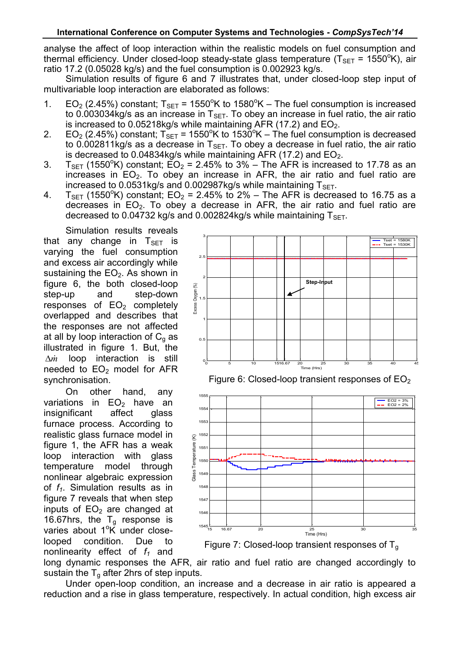analyse the affect of loop interaction within the realistic models on fuel consumption and thermal efficiency. Under closed-loop steady-state glass temperature ( $T_{\text{SET}}$  = 1550°K), air ratio 17.2 (0.05028 kg/s) and the fuel consumption is 0.002923 kg/s.

Simulation results of figure 6 and 7 illustrates that, under closed-loop step input of multivariable loop interaction are elaborated as follows:

- 1.  $EO_2$  (2.45%) constant;  $T_{\text{SFT}}$  = 1550°K to 1580°K The fuel consumption is increased to 0.003034kg/s as an increase in  $T_{\text{SFT}}$ . To obey an increase in fuel ratio, the air ratio is increased to 0.05218kg/s while maintaining AFR (17.2) and  $EO<sub>2</sub>$ .
- 2.  $EO_2$  (2.45%) constant;  $T_{\text{SET}}$  = 1550°K to 1530°K The fuel consumption is decreased to 0.002811kg/s as a decrease in  $T<sub>SET</sub>$ . To obey a decrease in fuel ratio, the air ratio is decreased to 0.04834kg/s while maintaining AFR (17.2) and  $EO<sub>2</sub>$ .
- 3.  $T_{\text{SFT}}$  (1550°K) constant;  $\overline{EO}_2 = 2.45\%$  to 3% The AFR is increased to 17.78 as an increases in  $EO<sub>2</sub>$ . To obey an increase in AFR, the air ratio and fuel ratio are increased to  $0.0531$ kg/s and  $0.002987$ kg/s while maintaining  $T<sub>SET</sub>$ .
- 4.  $T_{SET}$  (1550°K) constant; EO<sub>2</sub> = 2.45% to 2% The AFR is decreased to 16.75 as a decreases in  $EO<sub>2</sub>$ . To obey a decrease in AFR, the air ratio and fuel ratio are decreased to 0.04732 kg/s and 0.002824kg/s while maintaining  $T<sub>SFT</sub>$ .

Simulation results reveals that any change in  $T_{\text{SET}}$  is varying the fuel consumption and excess air accordingly while sustaining the  $EO<sub>2</sub>$ . As shown in figure 6, the both closed-loop step-up and step-down responses of  $EO<sub>2</sub>$  completely overlapped and describes that the responses are not affected at all by loop interaction of  $C_{q}$  as illustrated in figure 1. But, the  $\Delta m$  loop interaction is still needed to  $EO<sub>2</sub>$  model for AFR synchronisation.

On other hand, any variations in  $EO<sub>2</sub>$  have an insignificant affect alass insignificant affect glass furnace process. According to realistic glass furnace model in figure 1, the AFR has a weak loop interaction with glass temperature model through nonlinear algebraic expression of *f1*. Simulation results as in figure 7 reveals that when step inputs of  $EO<sub>2</sub>$  are changed at 16.67hrs, the  $T_q$  response is varies about  $1^\circ K$  under closelooped condition. Due to nonlinearity effect of *f<sup>1</sup>* and



Figure 6: Closed-loop transient responses of  $EO<sub>2</sub>$ 



Figure 7: Closed-loop transient responses of  $T<sub>g</sub>$ 

long dynamic responses the AFR, air ratio and fuel ratio are changed accordingly to sustain the  $T<sub>g</sub>$  after 2hrs of step inputs.

Under open-loop condition, an increase and a decrease in air ratio is appeared a reduction and a rise in glass temperature, respectively. In actual condition, high excess air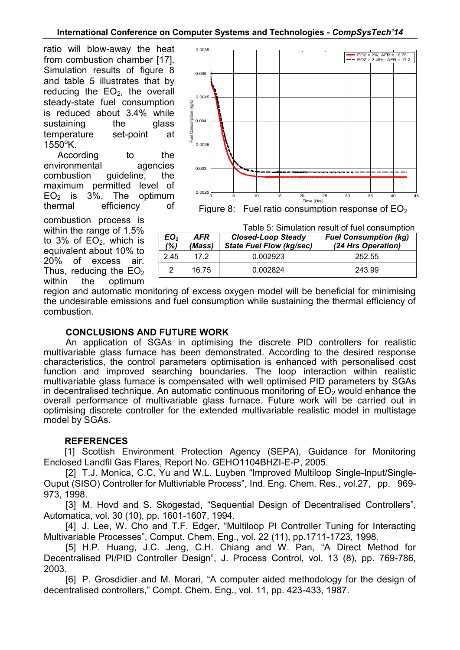### **International Conference on Computer Systems and Technologies -** *CompSysTech'14*

ratio will blow-away the heat from combustion chamber [17]. Simulation results of figure 8 and table 5 illustrates that by reducing the  $EO<sub>2</sub>$ , the overall steady-state fuel consumption is reduced about 3.4% while sustaining the glass temperature set-point at  $1550^{\circ}$ K.

According to the environmental agencies combustion guideline, the maximum permitted level of  $EO<sub>2</sub>$  is 3%. The optimum thermal efficiency of

combustion process is within the range of 1.5% to  $3\%$  of  $EO<sub>2</sub>$ , which is equivalent about 10% to 20% of excess air. Thus, reducing the  $EO<sub>2</sub>$ within the optimum



Figure 8: Fuel ratio consumption response of  $EO<sub>2</sub>$ 

|                        | Table 5: Simulation result of fuel consumption |                                                              |                                                    |  |  |
|------------------------|------------------------------------------------|--------------------------------------------------------------|----------------------------------------------------|--|--|
| EO <sub>2</sub><br>(%) | AFR<br>(Mass)                                  | <b>Closed-Loop Steady</b><br><b>State Fuel Flow (kg/sec)</b> | <b>Fuel Consumption (kg)</b><br>(24 Hrs Operation) |  |  |
| 2.45                   | 17.2                                           | 0.002923                                                     | 252.55                                             |  |  |
| 2                      | 16.75                                          | 0.002824                                                     | 243.99                                             |  |  |

region and automatic monitoring of excess oxygen model will be beneficial for minimising the undesirable emissions and fuel consumption while sustaining the thermal efficiency of combustion.

# **CONCLUSIONS AND FUTURE WORK**

An application of SGAs in optimising the discrete PID controllers for realistic multivariable glass furnace has been demonstrated. According to the desired response characteristics, the control parameters optimisation is enhanced with personalised cost function and improved searching boundaries. The loop interaction within realistic multivariable glass furnace is compensated with well optimised PID parameters by SGAs in decentralised technique. An automatic continuous monitoring of  $EO<sub>2</sub>$  would enhance the overall performance of multivariable glass furnace. Future work will be carried out in optimising discrete controller for the extended multivariable realistic model in multistage model by SGAs.

# **REFERENCES**

[1] Scottish Environment Protection Agency (SEPA), Guidance for Monitoring Enclosed Landfil Gas Flares, Report No. GEHO1104BHZI-E-P, 2005.

[2] T.J. Monica, C.C. Yu and W.L. Luyben "Improved Multiloop Single-Input/Single-Ouput (SISO) Controller for Multivriable Process", Ind. Eng. Chem. Res., vol.27, pp. 969- 973, 1998.

[3] M. Hovd and S. Skogestad, "Sequential Design of Decentralised Controllers", Automatica, vol. 30 (10), pp. 1601-1607, 1994.

[4] J. Lee, W. Cho and T.F. Edger, "Multiloop PI Controller Tuning for Interacting Multivariable Processes", Comput. Chem. Eng., vol. 22 (11), pp.1711-1723, 1998.

[5] H.P. Huang, J.C. Jeng, C.H. Chiang and W. Pan, "A Direct Method for Decentralised PI/PID Controller Design", J. Process Control, vol. 13 (8), pp. 769-786, 2003.

[6] P. Grosdidier and M. Morari, "A computer aided methodology for the design of decentralised controllers," Compt. Chem. Eng., vol. 11, pp. 423-433, 1987.